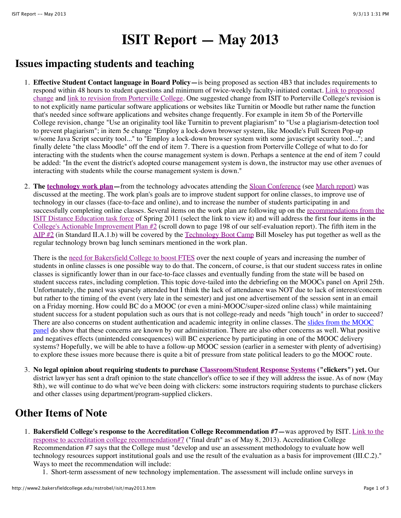## **ISIT Report — May 2013**

## **Issues impacting students and teaching**

- 1. **Effective Student Contact language in Board Policy—**is being proposed as section 4B3 that includes requirements to respond within 48 hours to student questions and minimum of twice-weekly faculty-initiated contact. Link to proposed [change and link to revision from Porterville College. One suggested change from ISIT to Porterville College's revision](https://committees.kccd.edu/sites/committees.kccd.edu/files/BoardPolicy-DistEd-4B3.pdf) is to not explicitly name particular software applications or websites like Turnitin or Moodle but rather name the function that's needed since software applications and websites change frequently. For example in item 5b of the Porterville College revision, change "Use an originality tool like Turnitin to prevent plagiarism" to "Use a plagiarism-detection tool to prevent plagiarism"; in item 5e change "Employ a lock-down browser system, like Moodle's Full Screen Pop-up w/some Java Script security tool..." to "Employ a lock-down browser system with some javascript security tool..."; and finally delete "the class Moodle" off the end of item 7. There is a question from Porterville College of what to do for interacting with the students when the course management system is down. Perhaps a sentence at the end of item 7 could be added: "In the event the district's adopted course management system is down, the instructor may use other avenues of interacting with students while the course management system is down."
- 2. **The [technology work plan—](https://committees.kccd.edu/sites/committees.kccd.edu/files/tech-work-plan-2013.pdf)**from the technology advocates attending the [Sloan Conference](http://sloanconsortium.org/conference/2013/et4online/welcome) (see [March report\)](http://www2.bakersfieldcollege.edu/nstrobel/isit/mar2013.htm) was discussed at the meeting. The work plan's goals are to improve student support for online classes, to improve use of technology in our classes (face-to-face and online), and to increase the number of students participating in and [successfully completing online classes. Several items on the work plan are following up on the recommendations from the](http://accreditation.bakersfieldcollege.edu/Files/Evidence/Standards/IIA/II.A.49.pdf) ISIT Distance Education task force of Spring 2011 (select the link to view it) and will address the first four items in the [College's Actionable Improvement Plan #2](http://accreditation.bakersfieldcollege.edu/files/reports/standards/IIA.pdf) (scroll down to page 198 of our self-evaluation report). The fifth item in the [AIP #2](http://accreditation.bakersfieldcollege.edu/files/reports/standards/IIA.pdf) (in Standard II.A.1.b) will be covered by the [Technology Boot Camp](https://sites.google.com/site/bctechcamp2013/) Bill Moseley has put together as well as the regular technology brown bag lunch seminars mentioned in the work plan.

There is the [need for Bakersfield College to boost FTES](http://www2.bakersfieldcollege.edu/nstrobel/collegecouncil/apr0513.htm#s4) over the next couple of years and increasing the number of students in online classes is one possible way to do that. The concern, of course, is that our student success rates in online classes is significantly lower than in our face-to-face classes and eventually funding from the state will be based on student success rates, including completion. This topic dove-tailed into the debriefing on the MOOCs panel on April 25th. Unfortunately, the panel was sparsely attended but I think the lack of attendance was NOT due to lack of interest/concern but rather to the timing of the event (very late in the semester) and just one advertisement of the session sent in an email on a Friday morning. How could BC do a MOOC (or even a mini-MOOC/super-sized online class) while maintaining student success for a student population such as ours that is not college-ready and needs "high touch" in order to succeed? There are also concerns on student authentication and academic integrity in online classes. The slides from the MOOC [panel do show that these concerns are known by our administration. There are also other concerns as well. What positiv](https://committees.kccd.edu/sites/committees.kccd.edu/files/MOOC%20Panel%20Discussion%204-25-13.pdf)e and negatives effects (unintended consequences) will BC experience by participating in one of the MOOC delivery systems? Hopefully, we will be able to have a follow-up MOOC session (earlier in a semester with plenty of advertising) to explore these issues more because there is quite a bit of pressure from state political leaders to go the MOOC route.

3. **No legal opinion about requiring students to purchase [Classroom/Student Response Systems](http://cft.vanderbilt.edu/teaching-guides/technology/clickers/) ("clickers") yet.** Our district lawyer has sent a draft opinion to the state chancellor's office to see if they will address the issue. As of now (May 8th), we will continue to do what we've been doing with clickers: some instructors requiring students to purchase clickers and other classes using department/program-supplied clickers.

## **Other Items of Note**

- 1. **Bakersfield College's response to the Accreditation College Recommendation #7—**was approved by ISIT. Link to the [response to accreditation college recommendation#7 \("final draft" as of May 8, 2013\). Accreditation College](http://www2.bakersfieldcollege.edu/nstrobel/isit/Response-CollegeRecommendation7-final.pdf) Recommendation #7 says that the College must "develop and use an assessment methodology to evaluate how well technology resources support institutional goals and use the result of the evaluation as a basis for improvement (III.C.2)." Ways to meet the recommendation will include:
	- 1. Short-term assessment of new technology implementation. The assessment will include online surveys in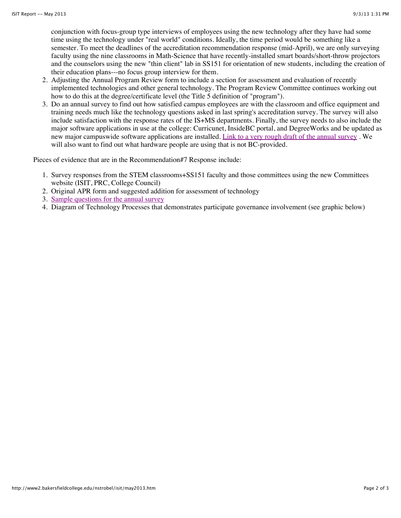conjunction with focus-group type interviews of employees using the new technology after they have had some time using the technology under "real world" conditions. Ideally, the time period would be something like a semester. To meet the deadlines of the accreditation recommendation response (mid-April), we are only surveying faculty using the nine classrooms in Math-Science that have recently-installed smart boards/short-throw projectors and the counselors using the new "thin client" lab in SS151 for orientation of new students, including the creation of their education plans---no focus group interview for them.

- 2. Adjusting the Annual Program Review form to include a section for assessment and evaluation of recently implemented technologies and other general technology. The Program Review Committee continues working out how to do this at the degree/certificate level (the Title 5 definition of "program").
- 3. Do an annual survey to find out how satisfied campus employees are with the classroom and office equipment and training needs much like the technology questions asked in last spring's accreditation survey. The survey will also include satisfaction with the response rates of the IS+MS departments. Finally, the survey needs to also include the major software applications in use at the college: Curricunet, InsideBC portal, and DegreeWorks and be updated as new major campuswide software applications are installed. [Link to a very rough draft of the annual survey](https://committees.kccd.edu/sites/committees.kccd.edu/files/2013BC-AnnualTechnologyNeedsSurvey_01May13Draft.pdf) . We will also want to find out what hardware people are using that is not BC-provided.

Pieces of evidence that are in the Recommendation#7 Response include:

- 1. Survey responses from the STEM classrooms+SS151 faculty and those committees using the new Committees website (ISIT, PRC, College Council)
- 2. Original APR form and suggested addition for assessment of technology
- 3. [Sample questions for the annual survey](https://committees.kccd.edu/sites/committees.kccd.edu/files/2013BC-AnnualTechnologyNeedsSurvey_01May13Draft.pdf)
- 4. Diagram of Technology Processes that demonstrates participate governance involvement (see graphic below)